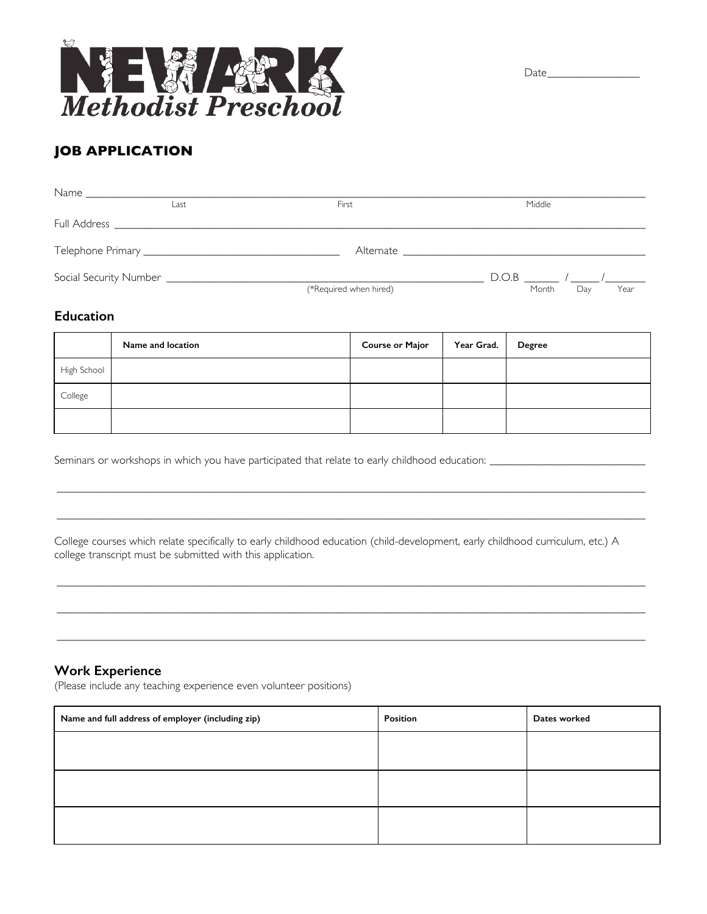

 $Date$ 

# **JOB APPLICATION**

| Name                                  |                                                                                                                     |                                                                                                                |                      |
|---------------------------------------|---------------------------------------------------------------------------------------------------------------------|----------------------------------------------------------------------------------------------------------------|----------------------|
|                                       | Last                                                                                                                | First                                                                                                          | Middle               |
| Full Address                          | <u> 1989 - Jan Sterner, margaret eta industrial eta industrial eta industrial eta industrial eta industrial eta</u> |                                                                                                                |                      |
|                                       |                                                                                                                     | Alternate and the state of the state of the state of the state of the state of the state of the state of the s |                      |
| Social Security Number ______________ |                                                                                                                     |                                                                                                                | $D.O.B$ / /          |
|                                       |                                                                                                                     | (*Required when hired)                                                                                         | Month<br>Year<br>Day |

### **Education**

|             | Name and location | Course or Major | Year Grad. | Degree |
|-------------|-------------------|-----------------|------------|--------|
| High School |                   |                 |            |        |
| College     |                   |                 |            |        |
|             |                   |                 |            |        |

\_\_\_\_\_\_\_\_\_\_\_\_\_\_\_\_\_\_\_\_\_\_\_\_\_\_\_\_\_\_\_\_\_\_\_\_\_\_\_\_\_\_\_\_\_\_\_\_\_\_\_\_\_\_\_\_\_\_\_\_\_\_\_\_\_\_\_\_\_\_\_\_\_\_\_\_\_\_\_\_\_\_\_\_\_\_\_\_\_\_\_\_\_\_\_\_\_\_\_\_\_\_

\_\_\_\_\_\_\_\_\_\_\_\_\_\_\_\_\_\_\_\_\_\_\_\_\_\_\_\_\_\_\_\_\_\_\_\_\_\_\_\_\_\_\_\_\_\_\_\_\_\_\_\_\_\_\_\_\_\_\_\_\_\_\_\_\_\_\_\_\_\_\_\_\_\_\_\_\_\_\_\_\_\_\_\_\_\_\_\_\_\_\_\_\_\_\_\_\_\_\_\_\_\_

\_\_\_\_\_\_\_\_\_\_\_\_\_\_\_\_\_\_\_\_\_\_\_\_\_\_\_\_\_\_\_\_\_\_\_\_\_\_\_\_\_\_\_\_\_\_\_\_\_\_\_\_\_\_\_\_\_\_\_\_\_\_\_\_\_\_\_\_\_\_\_\_\_\_\_\_\_\_\_\_\_\_\_\_\_\_\_\_\_\_\_\_\_\_\_\_\_\_\_\_\_\_

\_\_\_\_\_\_\_\_\_\_\_\_\_\_\_\_\_\_\_\_\_\_\_\_\_\_\_\_\_\_\_\_\_\_\_\_\_\_\_\_\_\_\_\_\_\_\_\_\_\_\_\_\_\_\_\_\_\_\_\_\_\_\_\_\_\_\_\_\_\_\_\_\_\_\_\_\_\_\_\_\_\_\_\_\_\_\_\_\_\_\_\_\_\_\_\_\_\_\_\_\_\_

\_\_\_\_\_\_\_\_\_\_\_\_\_\_\_\_\_\_\_\_\_\_\_\_\_\_\_\_\_\_\_\_\_\_\_\_\_\_\_\_\_\_\_\_\_\_\_\_\_\_\_\_\_\_\_\_\_\_\_\_\_\_\_\_\_\_\_\_\_\_\_\_\_\_\_\_\_\_\_\_\_\_\_\_\_\_\_\_\_\_\_\_\_\_\_\_\_\_\_\_\_\_

Seminars or workshops in which you have participated that relate to early childhood education: \_\_\_\_\_\_\_\_\_\_\_\_\_\_\_\_\_\_\_\_\_

College courses which relate specifically to early childhood education (child-development, early childhood curriculum, etc.) A college transcript must be submitted with this application.

# **Work Experience**

(Please include any teaching experience even volunteer positions)

| Name and full address of employer (including zip) | Position | Dates worked |
|---------------------------------------------------|----------|--------------|
|                                                   |          |              |
|                                                   |          |              |
|                                                   |          |              |
|                                                   |          |              |
|                                                   |          |              |
|                                                   |          |              |